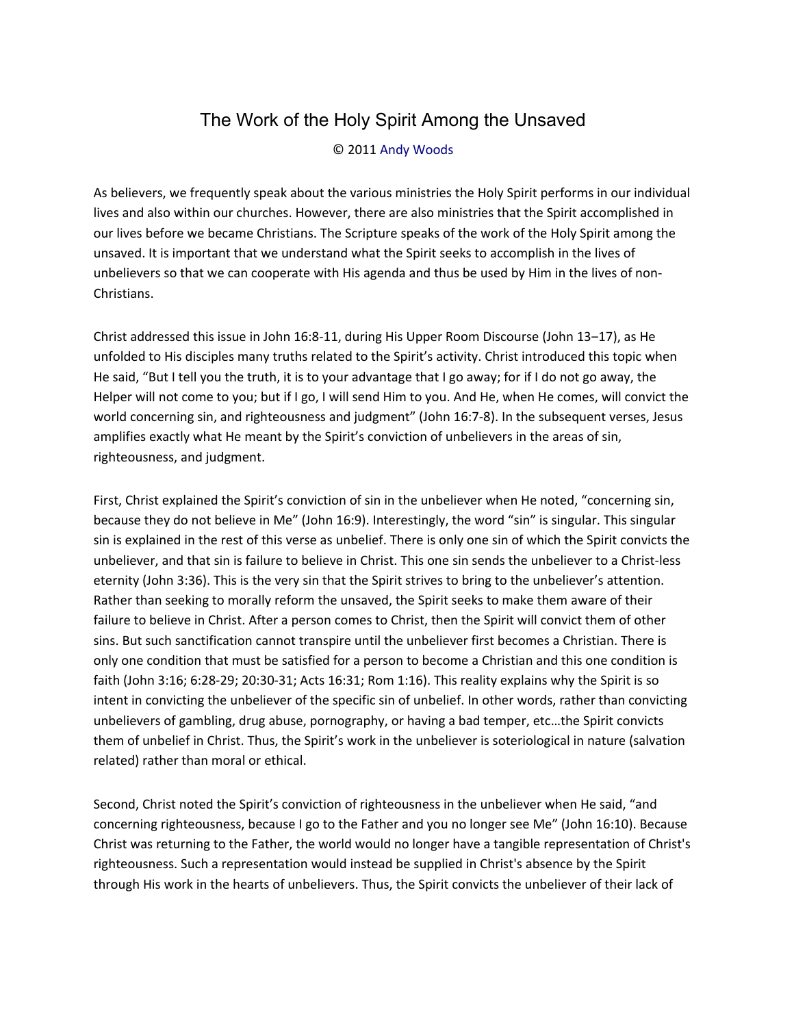## The Work of the Holy Spirit Among the Unsaved

## © 2011 [Andy Woods](http://www.spiritandtruth.org/id/aw.htm)

As believers, we frequently speak about the various ministries the Holy Spirit performs in our individual lives and also within our churches. However, there are also ministries that the Spirit accomplished in our lives before we became Christians. The Scripture speaks of the work of the Holy Spirit among the unsaved. It is important that we understand what the Spirit seeks to accomplish in the lives of unbelievers so that we can cooperate with His agenda and thus be used by Him in the lives of non-Christians.

Christ addressed this issue in John 16:8-11, during His Upper Room Discourse (John 13–17), as He unfolded to His disciples many truths related to the Spirit's activity. Christ introduced this topic when He said, "But I tell you the truth, it is to your advantage that I go away; for if I do not go away, the Helper will not come to you; but if I go, I will send Him to you. And He, when He comes, will convict the world concerning sin, and righteousness and judgment" (John 16:7-8). In the subsequent verses, Jesus amplifies exactly what He meant by the Spirit's conviction of unbelievers in the areas of sin, righteousness, and judgment.

First, Christ explained the Spirit's conviction of sin in the unbeliever when He noted, "concerning sin, because they do not believe in Me" (John 16:9). Interestingly, the word "sin" is singular. This singular sin is explained in the rest of this verse as unbelief. There is only one sin of which the Spirit convicts the unbeliever, and that sin is failure to believe in Christ. This one sin sends the unbeliever to a Christ-less eternity (John 3:36). This is the very sin that the Spirit strives to bring to the unbeliever's attention. Rather than seeking to morally reform the unsaved, the Spirit seeks to make them aware of their failure to believe in Christ. After a person comes to Christ, then the Spirit will convict them of other sins. But such sanctification cannot transpire until the unbeliever first becomes a Christian. There is only one condition that must be satisfied for a person to become a Christian and this one condition is faith (John 3:16; 6:28-29; 20:30-31; Acts 16:31; Rom 1:16). This reality explains why the Spirit is so intent in convicting the unbeliever of the specific sin of unbelief. In other words, rather than convicting unbelievers of gambling, drug abuse, pornography, or having a bad temper, etc…the Spirit convicts them of unbelief in Christ. Thus, the Spirit's work in the unbeliever is soteriological in nature (salvation related) rather than moral or ethical.

Second, Christ noted the Spirit's conviction of righteousness in the unbeliever when He said, "and concerning righteousness, because I go to the Father and you no longer see Me" (John 16:10). Because Christ was returning to the Father, the world would no longer have a tangible representation of Christ's righteousness. Such a representation would instead be supplied in Christ's absence by the Spirit through His work in the hearts of unbelievers. Thus, the Spirit convicts the unbeliever of their lack of